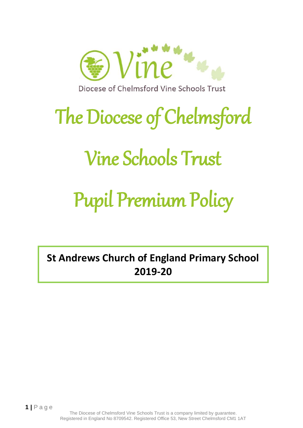

# The Diocese of Chelmsford

### Vine Schools Trust

## Pupil Premium Policy

**St Andrews Church of England Primary School 2019-20**

The Diocese of Chelmsford Vine Schools Trust is a company limited by guarantee. Registered in England No 8709542. Registered Office 53, New Street Chelmsford CM1 1AT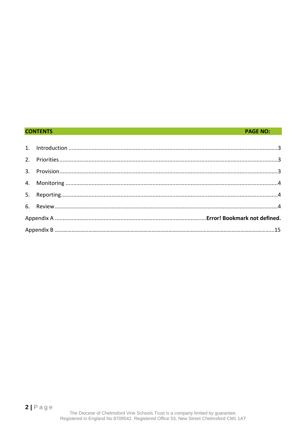#### **CONTENTS**

#### **PAGE NO:**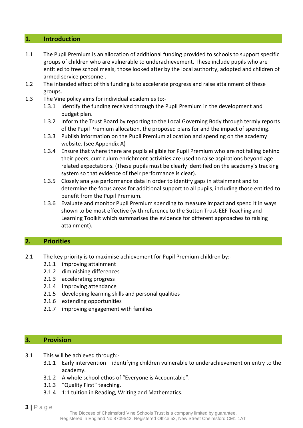#### <span id="page-2-0"></span>**1. Introduction**

- 1.1 The Pupil Premium is an allocation of additional funding provided to schools to support specific groups of children who are vulnerable to underachievement. These include pupils who are entitled to free school meals, those looked after by the local authority, adopted and children of armed service personnel.
- 1.2 The intended effect of this funding is to accelerate progress and raise attainment of these groups.
- 1.3 The Vine policy aims for individual academies to:-
	- 1.3.1 Identify the funding received through the Pupil Premium in the development and budget plan.
	- 1.3.2 Inform the Trust Board by reporting to the Local Governing Body through termly reports of the Pupil Premium allocation, the proposed plans for and the impact of spending.
	- 1.3.3 Publish information on the Pupil Premium allocation and spending on the academy website. (see Appendix A)
	- 1.3.4 Ensure that where there are pupils eligible for Pupil Premium who are not falling behind their peers, curriculum enrichment activities are used to raise aspirations beyond age related expectations. (These pupils must be clearly identified on the academy's tracking system so that evidence of their performance is clear).
	- 1.3.5 Closely analyse performance data in order to identify gaps in attainment and to determine the focus areas for additional support to all pupils, including those entitled to benefit from the Pupil Premium.
	- 1.3.6 Evaluate and monitor Pupil Premium spending to measure impact and spend it in ways shown to be most effective (with reference to the Sutton Trust-EEF Teaching and Learning Toolkit which summarises the evidence for different approaches to raising attainment).

#### <span id="page-2-1"></span>**2. Priorities**

- 2.1 The key priority is to maximise achievement for Pupil Premium children by:-
	- 2.1.1 improving attainment
	- 2.1.2 diminishing differences
	- 2.1.3 accelerating progress
	- 2.1.4 improving attendance
	- 2.1.5 developing learning skills and personal qualities
	- 2.1.6 extending opportunities
	- 2.1.7 improving engagement with families

#### <span id="page-2-2"></span>**3. Provision**

- 3.1 This will be achieved through:-
	- 3.1.1 Early intervention identifying children vulnerable to underachievement on entry to the academy.
	- 3.1.2 A whole school ethos of "Everyone is Accountable".
	- 3.1.3 "Quality First" teaching.
	- 3.1.4 1:1 tuition in Reading, Writing and Mathematics.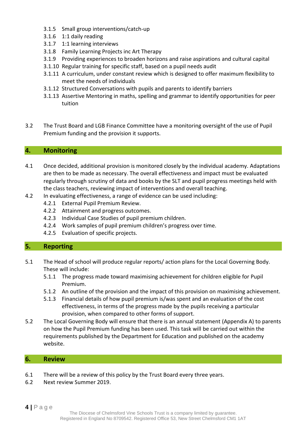- 3.1.5 Small group interventions/catch-up
- 3.1.6 1:1 daily reading
- 3.1.7 1:1 learning interviews
- 3.1.8 Family Learning Projects inc Art Therapy
- 3.1.9 Providing experiences to broaden horizons and raise aspirations and cultural capital
- 3.1.10 Regular training for specific staff, based on a pupil needs audit
- 3.1.11 A curriculum, under constant review which is designed to offer maximum flexibility to meet the needs of individuals
- 3.1.12 Structured Conversations with pupils and parents to identify barriers
- 3.1.13 Assertive Mentoring in maths, spelling and grammar to identify opportunities for peer tuition
- 3.2 The Trust Board and LGB Finance Committee have a monitoring oversight of the use of Pupil Premium funding and the provision it supports.

#### <span id="page-3-0"></span>**4. Monitoring**

- 4.1 Once decided, additional provision is monitored closely by the individual academy. Adaptations are then to be made as necessary. The overall effectiveness and impact must be evaluated regularly through scrutiny of data and books by the SLT and pupil progress meetings held with the class teachers, reviewing impact of interventions and overall teaching.
- 4.2 In evaluating effectiveness, a range of evidence can be used including:
	- 4.2.1 External Pupil Premium Review.
	- 4.2.2 Attainment and progress outcomes.
	- 4.2.3 Individual Case Studies of pupil premium children.
	- 4.2.4 Work samples of pupil premium children's progress over time.
	- 4.2.5 Evaluation of specific projects.

#### <span id="page-3-1"></span>**5. Reporting**

- 5.1 The Head of school will produce regular reports/ action plans for the Local Governing Body. These will include:
	- 5.1.1 The progress made toward maximising achievement for children eligible for Pupil Premium.
	- 5.1.2 An outline of the provision and the impact of this provision on maximising achievement.
	- 5.1.3 Financial details of how pupil premium is/was spent and an evaluation of the cost effectiveness, in terms of the progress made by the pupils receiving a particular provision, when compared to other forms of support.
- 5.2 The Local Governing Body will ensure that there is an annual statement (Appendix A) to parents on how the Pupil Premium funding has been used. This task will be carried out within the requirements published by the Department for Education and published on the academy website.

#### <span id="page-3-2"></span>**6. Review**

- 6.1 There will be a review of this policy by the Trust Board every three years.
- 6.2 Next review Summer 2019.

**4 |** P a g e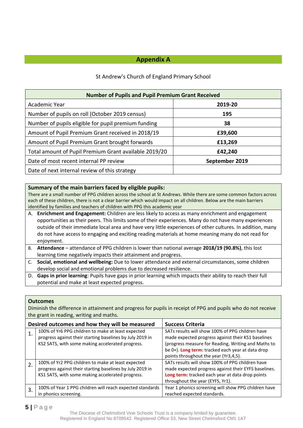#### **Appendix A**

#### St Andrew's Church of England Primary School

| <b>Number of Pupils and Pupil Premium Grant Received</b> |                |  |  |
|----------------------------------------------------------|----------------|--|--|
| Academic Year                                            | 2019-20        |  |  |
| Number of pupils on roll (October 2019 census)           | 195            |  |  |
| Number of pupils eligible for pupil premium funding      | 38             |  |  |
| Amount of Pupil Premium Grant received in 2018/19        | £39,600        |  |  |
| Amount of Pupil Premium Grant brought forwards           | £13,269        |  |  |
| Total amount of Pupil Premium Grant available 2019/20    | £42,240        |  |  |
| Date of most recent internal PP review                   | September 2019 |  |  |
| Date of next internal review of this strategy            |                |  |  |

#### **Summary of the main barriers faced by eligible pupils:**

There are a small number of PPG children across the school at St Andrews. While there are some common factors across each of these children, there is not a clear barrier which would impact on all children. Below are the main barriers identified by families and teachers of children with PPG this academic year

- A. **Enrichment and Engagement:** Children are less likely to access as many enrichment and engagement opportunities as their peers. This limits some of their experiences. Many do not have many experiences outside of their immediate local area and have very little experiences of other cultures. In addition, many do not have access to engaging and exciting reading materials at home meaning many do not read for enjoyment.
- B. **Attendance** attendance of PPG children is lower than national average **2018/19 (90.8%)**, this lost learning time negatively impacts their attainment and progress.
- C. **Social, emotional and wellbeing:** Due to lower attendance and external circumstances, some children develop social and emotional problems due to decreased resilience.
- D. **Gaps in prior learning**: Pupils have gaps in prior learning which impacts their ability to reach their full potential and make at least expected progress.

#### **Outcomes**

Diminish the difference in attainment and progress for pupils in receipt of PPG and pupils who do not receive the grant in reading, writing and maths.

|    | Desired outcomes and how they will be measured                                                                                                                      | <b>Success Criteria</b>                                                                                                                                                                          |
|----|---------------------------------------------------------------------------------------------------------------------------------------------------------------------|--------------------------------------------------------------------------------------------------------------------------------------------------------------------------------------------------|
|    | 100% of Yr6 PPG children to make at least expected<br>progress against their starting baselines by July 2019 in                                                     | SATs results will show 100% of PPG children have<br>made expected progress against their KS1 baselines                                                                                           |
|    | KS2 SATS, with some making accelerated progress.                                                                                                                    | (progress measure for Reading, Writing and Maths to<br>be 0+). Long term: tracked each year at data drop<br>points throughout the year (Yr3,4,5).                                                |
| 2. | 100% of Yr2 PPG children to make at least expected<br>progress against their starting baselines by July 2019 in<br>KS1 SATS, with some making accelerated progress. | SATs results will show 100% of PPG children have<br>made expected progress against their EYFS baselines.<br>Long term: tracked each year at data drop points<br>throughout the year (EYFS, Yr1). |
| 3. | 100% of Year 1 PPG children will reach expected standards<br>in phonics screening.                                                                                  | Year 1 phonics screening will show PPG children have<br>reached expected standards.                                                                                                              |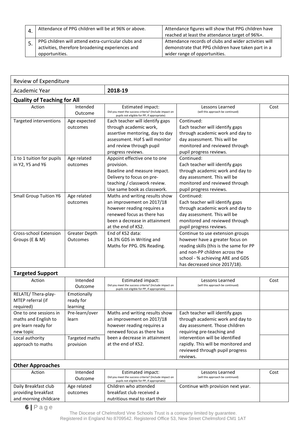| Attendance of PPG children will be at 96% or above.                                                                       | Attendance figures will show that PPG children have<br>reached at least the attendance target of 96%+.                                       |
|---------------------------------------------------------------------------------------------------------------------------|----------------------------------------------------------------------------------------------------------------------------------------------|
| PPG children will attend extra-curricular clubs and<br>activities, therefore broadening experiences and<br>opportunities. | Attendance records of clubs and wider activities will<br>demonstrate that PPG children have taken part in a<br>wider range of opportunities. |

| Review of Expenditure                                                              |                                      |                                                                                                                                                                                 |                                                                                                                                                                                                                       |      |  |
|------------------------------------------------------------------------------------|--------------------------------------|---------------------------------------------------------------------------------------------------------------------------------------------------------------------------------|-----------------------------------------------------------------------------------------------------------------------------------------------------------------------------------------------------------------------|------|--|
| Academic Year                                                                      |                                      | 2018-19                                                                                                                                                                         |                                                                                                                                                                                                                       |      |  |
| <b>Quality of Teaching for All</b>                                                 |                                      |                                                                                                                                                                                 |                                                                                                                                                                                                                       |      |  |
| Action                                                                             | Intended<br>Outcome                  | <b>Estimated impact:</b><br>Did you meet the success criteria? (Include impact on<br>pupils not eligible for PP, if appropriate)                                                | Lessons Learned<br>(will this approach be continued)                                                                                                                                                                  | Cost |  |
| Targeted interventions                                                             | Age expected<br>outcomes             | Each teacher will identify gaps<br>through academic work,<br>assertive mentoring, day to day<br>assessment. Hof S will monitor<br>and review through pupil<br>progress reviews. | Continued:<br>Each teacher will identify gaps<br>through academic work and day to<br>day assessment. This will be<br>monitored and reviewed through<br>pupil progress reviews.                                        |      |  |
| 1 to 1 tuition for pupils<br>in Y2, Y5 and Y6                                      | Age related<br>outcomes              | Appoint effective one to one<br>provision.<br>Baseline and measure impact.<br>Delivery to focus on pre-<br>teaching / classwork review.<br>Use same book as classwork.          | Continued:<br>Each teacher will identify gaps<br>through academic work and day to<br>day assessment. This will be<br>monitored and reviewed through<br>pupil progress reviews.                                        |      |  |
| <b>Small Group Tuition Y6</b>                                                      | Age related<br>outcomes              | Maths and writing results show<br>an improvement on 2017/18<br>however reading requires a<br>renewed focus as there has<br>been a decrease in attainment<br>at the end of KS2.  | Continued:<br>Each teacher will identify gaps<br>through academic work and day to<br>day assessment. This will be<br>monitored and reviewed through<br>pupil progress reviews.                                        |      |  |
| <b>Cross-school Extension</b><br>Groups (E & M)                                    | Greater Depth<br>Outcomes            | End of KS2 data:<br>14.3% GDS in Writing and<br>Maths for PPG. 0% Reading.                                                                                                      | Continue to use extension groups<br>however have a greater focus on<br>reading skills (this is the same for PP<br>and non-PP children across the<br>school - % achieving ARE and GDS<br>has decreased since 2017/18). |      |  |
| <b>Targeted Support</b>                                                            |                                      |                                                                                                                                                                                 |                                                                                                                                                                                                                       |      |  |
| Action                                                                             | Intended<br>Outcome                  | <b>Estimated impact:</b><br>Did you meet the success criteria? (Include impact on<br>pupils not eligible for PP, if appropriate)                                                | Lessons Learned<br>(will this approach be continued)                                                                                                                                                                  | Cost |  |
| RELATE/Thera-play-<br>MTEP referral (if<br>required)                               | Emotionally<br>ready for<br>learning |                                                                                                                                                                                 |                                                                                                                                                                                                                       |      |  |
| One to one sessions in<br>maths and English to<br>pre learn ready for<br>new topic | Pre-learn/over<br>learn              | Maths and writing results show<br>an improvement on 2017/18<br>however reading requires a<br>renewed focus as there has                                                         | Each teacher will identify gaps<br>through academic work and day to<br>day assessment. Those children<br>requiring pre-teaching and                                                                                   |      |  |
| Local authority<br>approach to maths                                               | Targeted maths<br>provision          | been a decrease in attainment<br>at the end of KS2.                                                                                                                             | intervention will be identified<br>rapidly. This will be monitored and<br>reviewed through pupil progress<br>reviews.                                                                                                 |      |  |

| <b>Other Approaches</b> |             |                                                                                                      |                                    |      |
|-------------------------|-------------|------------------------------------------------------------------------------------------------------|------------------------------------|------|
| Action                  | Intended    | Estimated impact:                                                                                    | Lessons Learned                    | Cost |
|                         | Outcome     | Did you meet the success criteria? (Include impact on<br>pupils not eligible for PP, if appropriate) | (will this approach be continued)  |      |
| Daily Breakfast club    | Age related | Children who attended                                                                                | Continue with provision next year. |      |
| providing breakfast     | outcomes    | breakfast club received a                                                                            |                                    |      |
| and morning childcare   |             | nutritious meal to start their                                                                       |                                    |      |

**6 |** P a g e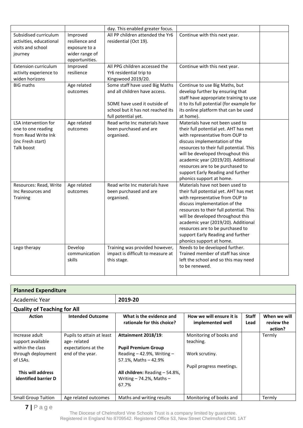|                                                                                                      |                                                                                 | day. This enabled greater focus.                                                                                                                            |                                                                                                                                                                                                                                                                                                                                                                          |  |
|------------------------------------------------------------------------------------------------------|---------------------------------------------------------------------------------|-------------------------------------------------------------------------------------------------------------------------------------------------------------|--------------------------------------------------------------------------------------------------------------------------------------------------------------------------------------------------------------------------------------------------------------------------------------------------------------------------------------------------------------------------|--|
| Subsidised curriculum<br>activities, educational<br>visits and school<br>journey                     | Improved<br>resilience and<br>exposure to a<br>wider range of<br>opportunities. | All PP children attended the Yr6<br>residential (Oct 19).                                                                                                   | Continue with this next year.                                                                                                                                                                                                                                                                                                                                            |  |
| <b>Extension curriculum</b><br>activity experience to<br>widen horizons                              | Improved<br>resilience                                                          | All PPG children accessed the<br>Yr6 residential trip to<br>Kingswood 2019/20.                                                                              | Continue with this next year.                                                                                                                                                                                                                                                                                                                                            |  |
| <b>BIG maths</b>                                                                                     | Age related<br>outcomes                                                         | Some staff have used Big Maths<br>and all children have access.<br>SOME have used it outside of<br>school but it has not reached its<br>full potential yet. | Continue to use Big Maths, but<br>develop further by ensuring that<br>staff have appropriate training to use<br>it to its full potential (for example for<br>its online platform that can be used<br>at home).                                                                                                                                                           |  |
| LSA intervention for<br>one to one reading<br>from Read Write Ink<br>(inc Fresh start)<br>Talk boost | Age related<br>outcomes                                                         | Read write Inc materials have<br>been purchased and are<br>organised.                                                                                       | Materials have not been used to<br>their full potential yet. AHT has met<br>with representative from OUP to<br>discuss implementation of the<br>resources to their full potential. This<br>will be developed throughout this<br>academic year (2019/20). Additional<br>resources are to be purchased to<br>support Early Reading and further<br>phonics support at home. |  |
| Resources: Read, Write<br>Inc Resources and<br>Training                                              | Age related<br>outcomes                                                         | Read write Inc materials have<br>been purchased and are<br>organised.                                                                                       | Materials have not been used to<br>their full potential yet. AHT has met<br>with representative from OUP to<br>discuss implementation of the<br>resources to their full potential. This<br>will be developed throughout this<br>academic year (2019/20). Additional<br>resources are to be purchased to<br>support Early Reading and further<br>phonics support at home. |  |
| Lego therapy                                                                                         | Develop<br>communication<br>skills                                              | Training was provided however,<br>impact is difficult to measure at<br>this stage.                                                                          | Needs to be developed further.<br>Trained member of staff has since<br>left the school and so this may need<br>to be renewed.                                                                                                                                                                                                                                            |  |

| <b>Planned Expenditure</b>                                                                                                             |                                                                                     |                                                                                                                                                                                               |                                                                                    |                      |                                       |
|----------------------------------------------------------------------------------------------------------------------------------------|-------------------------------------------------------------------------------------|-----------------------------------------------------------------------------------------------------------------------------------------------------------------------------------------------|------------------------------------------------------------------------------------|----------------------|---------------------------------------|
| Academic Year                                                                                                                          |                                                                                     | 2019-20                                                                                                                                                                                       |                                                                                    |                      |                                       |
| <b>Quality of Teaching for All</b>                                                                                                     |                                                                                     |                                                                                                                                                                                               |                                                                                    |                      |                                       |
| <b>Action</b>                                                                                                                          | <b>Intended Outcome</b>                                                             | What is the evidence and<br>rationale for this choice?                                                                                                                                        | How we will ensure it is<br>implemented well                                       | <b>Staff</b><br>Lead | When we will<br>review the<br>action? |
| Increase adult<br>support available<br>within the class<br>through deployment<br>of LSAs.<br>This will address<br>identified barrier D | Pupils to attain at least<br>age-related<br>expectations at the<br>end of the year. | <b>Attainment 2018/19:</b><br><b>Pupil Premium Group</b><br>Reading $-$ 42.9%, Writing $-$<br>57.1%, Maths - 42.9%<br>All children: Reading - 54.8%,<br>Writing $-74.2%$ , Maths $-$<br>67.7% | Monitoring of books and<br>teaching.<br>Work scrutiny.<br>Pupil progress meetings. |                      | Termly                                |
| <b>Small Group Tuition</b>                                                                                                             | Age related outcomes                                                                | Maths and writing results                                                                                                                                                                     | Monitoring of books and                                                            |                      | Termly                                |

**7 |** P a g e

The Diocese of Chelmsford Vine Schools Trust is a company limited by guarantee. Registered in England No 8709542. Registered Office 53, New Street Chelmsford CM1 1AT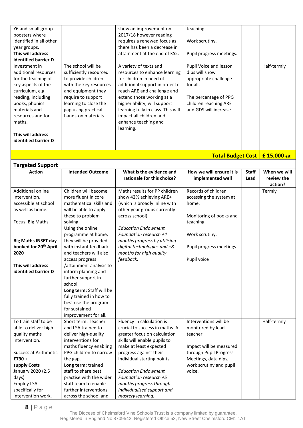| Y6 and small group                     |                          | show an improvement on                          | teaching.                |              |                                         |
|----------------------------------------|--------------------------|-------------------------------------------------|--------------------------|--------------|-----------------------------------------|
| boosters where                         |                          | 2017/18 however reading                         |                          |              |                                         |
| identified in all other                |                          | requires a renewed focus as                     | Work scrutiny.           |              |                                         |
| year groups.                           |                          | there has been a decrease in                    |                          |              |                                         |
| This will address                      |                          | attainment at the end of KS2.                   | Pupil progress meetings. |              |                                         |
| identified barrier D                   |                          |                                                 |                          |              |                                         |
| Investment in                          | The school will be       | A variety of texts and                          | Pupil Voice and lesson   |              | Half-termly                             |
| additional resources                   | sufficiently resourced   | resources to enhance learning                   | dips will show           |              |                                         |
| for the teaching of                    | to provide children      | for children in need of                         | appropriate challenge    |              |                                         |
| key aspects of the                     | with the key resources   | additional support in order to                  | for all.                 |              |                                         |
| curriculum, e.g.                       | and equipment they       | reach ARE and challenge and                     |                          |              |                                         |
| reading, including                     | require to support       | extend those working at a                       | The percentage of PPG    |              |                                         |
| books, phonics                         | learning to close the    | higher ability, will support                    | children reaching ARE    |              |                                         |
| materials and                          | gap using practical      | learning fully in class. This will              | and GDS will increase.   |              |                                         |
| resources and for                      | hands-on materials       | impact all children and                         |                          |              |                                         |
| maths.                                 |                          | enhance teaching and                            |                          |              |                                         |
|                                        |                          | learning.                                       |                          |              |                                         |
| This will address                      |                          |                                                 |                          |              |                                         |
| identified barrier D                   |                          |                                                 |                          |              |                                         |
|                                        |                          |                                                 |                          |              |                                         |
|                                        |                          |                                                 |                          |              |                                         |
|                                        |                          |                                                 |                          |              | <b>Total Budget Cost   £ 15,000 est</b> |
| <b>Targeted Support</b>                |                          |                                                 |                          |              |                                         |
| <b>Action</b>                          | <b>Intended Outcome</b>  | What is the evidence and                        | How we will ensure it is | <b>Staff</b> | When we will                            |
|                                        |                          | rationale for this choice?                      | implemented well         | Lead         | review the                              |
|                                        |                          |                                                 |                          |              | action?                                 |
| Additional online                      | Children will become     | Maths results for PP children                   | Records of children      |              | Termly                                  |
| intervention,                          | more fluent in core      | show 42% achieving ARE+                         | accessing the system at  |              |                                         |
| accessible at school                   | mathematical skills and  | (which is broadly inline with                   | home.                    |              |                                         |
| as well as home.                       | will be able to apply    | other year groups currently                     |                          |              |                                         |
|                                        | these to problem         | across school).                                 | Monitoring of books and  |              |                                         |
| Focus: Big Maths                       | solving.                 |                                                 | teaching.                |              |                                         |
|                                        | Using the online         | <b>Education Endowment</b>                      |                          |              |                                         |
|                                        | programme at home,       | Foundation research +4                          | Work scrutiny.           |              |                                         |
| <b>Big Maths INSET day</b>             | they will be provided    | months progress by utilising                    |                          |              |                                         |
| booked for 20 <sup>th</sup> April      | with instant feedback    | digital technologies and +8                     | Pupil progress meetings. |              |                                         |
| 2020                                   | and teachers will also   | months for high quality                         |                          |              |                                         |
|                                        | access progress          | feedback.                                       | Pupil voice              |              |                                         |
| This will address                      | /attainment analysis to  |                                                 |                          |              |                                         |
| identified barrier D                   | inform planning and      |                                                 |                          |              |                                         |
|                                        | further support in       |                                                 |                          |              |                                         |
|                                        | school.                  |                                                 |                          |              |                                         |
|                                        | Long term: Staff will be |                                                 |                          |              |                                         |
|                                        | fully trained in how to  |                                                 |                          |              |                                         |
|                                        | best use the program     |                                                 |                          |              |                                         |
|                                        | for sustained            |                                                 |                          |              |                                         |
|                                        | improvement for all.     |                                                 |                          |              |                                         |
| To train staff to be                   | Short term: Teacher      | Fluency in calculation is                       | Interventions will be    |              | Half-termly                             |
| able to deliver high                   | and LSA trained to       | crucial to success in maths. A                  | monitored by lead        |              |                                         |
| quality maths                          | deliver high-quality     | greater focus on calculation                    | teacher.                 |              |                                         |
| intervention.                          | interventions for        | skills will enable pupils to                    |                          |              |                                         |
|                                        | maths fluency enabling   | make at least expected                          | Impact will be measured  |              |                                         |
| <b>Success at Arithmetic</b>           |                          | progress against their                          | through Pupil Progress   |              |                                         |
| £790+                                  | PPG children to narrow   |                                                 |                          |              |                                         |
| supply Costs                           | the gap.                 | individual starting points.                     | Meetings, data dips,     |              |                                         |
|                                        | Long term: trained       |                                                 | work scrutiny and pupil  |              |                                         |
|                                        | staff to share best      | <b>Education Endowment</b>                      | voice.                   |              |                                         |
| January 2020 (2.5                      | practise with the wider  | Foundation research +5                          |                          |              |                                         |
| days)                                  | staff team to enable     |                                                 |                          |              |                                         |
| <b>Employ LSA</b>                      | further interventions    | months progress through                         |                          |              |                                         |
| specifically for<br>intervention work. | across the school and    | individualised support and<br>mastery learning. |                          |              |                                         |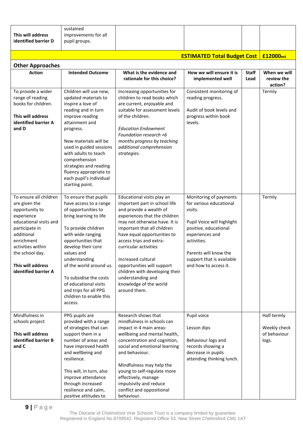| This will address<br>identified barrier D                                                                                                                                                                                            | sustained<br>improvements for all<br>pupil groups.                                                                                                                                                                                                                                                                                                                   |                                                                                                                                                                                                                                                                                                                                                                                                                                 |                                                                                                                                                                                                                                      |                      |                                                      |
|--------------------------------------------------------------------------------------------------------------------------------------------------------------------------------------------------------------------------------------|----------------------------------------------------------------------------------------------------------------------------------------------------------------------------------------------------------------------------------------------------------------------------------------------------------------------------------------------------------------------|---------------------------------------------------------------------------------------------------------------------------------------------------------------------------------------------------------------------------------------------------------------------------------------------------------------------------------------------------------------------------------------------------------------------------------|--------------------------------------------------------------------------------------------------------------------------------------------------------------------------------------------------------------------------------------|----------------------|------------------------------------------------------|
|                                                                                                                                                                                                                                      |                                                                                                                                                                                                                                                                                                                                                                      |                                                                                                                                                                                                                                                                                                                                                                                                                                 |                                                                                                                                                                                                                                      |                      |                                                      |
|                                                                                                                                                                                                                                      |                                                                                                                                                                                                                                                                                                                                                                      |                                                                                                                                                                                                                                                                                                                                                                                                                                 | <b>ESTIMATED Total Budget Cost</b>                                                                                                                                                                                                   |                      | £12000 <sub>est</sub>                                |
| <b>Other Approaches</b>                                                                                                                                                                                                              |                                                                                                                                                                                                                                                                                                                                                                      |                                                                                                                                                                                                                                                                                                                                                                                                                                 |                                                                                                                                                                                                                                      |                      |                                                      |
| <b>Action</b>                                                                                                                                                                                                                        | <b>Intended Outcome</b>                                                                                                                                                                                                                                                                                                                                              | What is the evidence and<br>rationale for this choice?                                                                                                                                                                                                                                                                                                                                                                          | How we will ensure it is<br>implemented well                                                                                                                                                                                         | <b>Staff</b><br>Lead | When we will<br>review the<br>action?                |
| To provide a wider<br>range of reading<br>books for children.<br>This will address<br>identified barrier A<br>and D                                                                                                                  | Children will use new,<br>updated materials to<br>inspire a love of<br>reading and in turn<br>improve reading<br>attainment and<br>progress.<br>New materials will be<br>used in guided sessions<br>with adults to teach<br>comprehension<br>strategies and reading<br>fluency appropriate to<br>each pupil's individual<br>starting point.                          | Increasing opportunities for<br>children to read books which<br>are current, enjoyable and<br>suitable for assessment levels<br>of the children.<br><b>Education Endowment</b><br>Foundation research +6<br>months progress by teaching<br>additional comprehension<br>strategies.                                                                                                                                              | Consistent monitoring of<br>reading progress.<br>Audit of book levels and<br>progress within book<br>levels.                                                                                                                         |                      | Termly                                               |
| To ensure all children<br>are given the<br>opportunity to<br>experience<br>educational visits and<br>participate in<br>additional<br>enrichment<br>activities within<br>the school day.<br>This will address<br>identified barrier A | To ensure that pupils<br>have access to a range<br>of opportunities to<br>bring learning to life<br>To provide children<br>with wide ranging<br>opportunities that<br>develop their core<br>values and<br>understanding<br>of the world around us.<br>To subsidise the costs<br>of educational visits<br>and trips for all PPG<br>children to enable this<br>access. | Educational visits play an<br>important part in school life<br>and provide a wealth of<br>experiences that the children<br>may not otherwise have. It is<br>important that all children<br>have equal opportunities to<br>access trips and extra-<br>curricular activities<br>Increased cultural<br>opportunities will support<br>children with developing their<br>understanding and<br>knowledge of the world<br>around them. | Monitoring of payments<br>for various educational<br>visits.<br>Pupil Voice will highlight<br>positive, educational<br>experiences and<br>activities.<br>Parents will know the<br>support that is available<br>and how to access it. |                      | Termly                                               |
| Mindfulness in<br>schools project<br>This will address<br>identified barrier B<br>and C                                                                                                                                              | PPG pupils are<br>provided with a range<br>of strategies that can<br>support them in a<br>number of areas and<br>have improved health<br>and wellbeing and<br>resilience.<br>This will, in turn, also<br>improve attendance<br>through increased                                                                                                                     | Research shows that<br>mindfulness in schools can<br>impact in 4 main areas:<br>wellbeing and mental health,<br>concentration and cognition,<br>social and emotional learning<br>and behaviour.<br>Mindfulness may help the<br>young to self-regulate more<br>effectively, manage<br>impulsivity and reduce                                                                                                                     | Pupil voice<br>Lesson dips<br>Behaviour logs and<br>records showing a<br>decrease in pupils<br>attending thinking lunch.                                                                                                             |                      | Half termly<br>Weekly check<br>of behaviour<br>logs. |
|                                                                                                                                                                                                                                      | resilience and calm,<br>positive attitudes to                                                                                                                                                                                                                                                                                                                        | conflict and oppositional<br>behaviour.                                                                                                                                                                                                                                                                                                                                                                                         |                                                                                                                                                                                                                                      |                      |                                                      |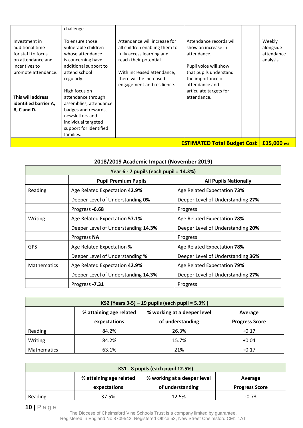|                                                                                                                     | challenge.                                                                                                                                                |                                                                                                                                                                                                             |                                                                                                                                                                                   |                                                |
|---------------------------------------------------------------------------------------------------------------------|-----------------------------------------------------------------------------------------------------------------------------------------------------------|-------------------------------------------------------------------------------------------------------------------------------------------------------------------------------------------------------------|-----------------------------------------------------------------------------------------------------------------------------------------------------------------------------------|------------------------------------------------|
| Investment in<br>additional time<br>for staff to focus<br>on attendance and<br>incentives to<br>promote attendance. | To ensure those<br>vulnerable children<br>whose attendance<br>is concerning have<br>additional support to<br>attend school<br>regularly.<br>High focus on | Attendance will increase for<br>all children enabling them to<br>fully access learning and<br>reach their potential.<br>With increased attendance,<br>there will be increased<br>engagement and resilience. | Attendance records will<br>show an increase in<br>attendance.<br>Pupil voice will show<br>that pupils understand<br>the importance of<br>attendance and<br>articulate targets for | Weekly<br>alongside<br>attendance<br>analysis. |
| This will address<br>identified barrier A,<br>B, C and D.                                                           | attendance through<br>assemblies, attendance<br>badges and rewards,<br>newsletters and<br>individual targeted<br>support for identified<br>families.      |                                                                                                                                                                                                             | attendance.                                                                                                                                                                       |                                                |
|                                                                                                                     |                                                                                                                                                           |                                                                                                                                                                                                             | <b>ESTIMATED Total Budget Cost   £15,000 est</b>                                                                                                                                  |                                                |

| 2018/2019 Academic Impact (November 2019) |                                        |                                   |  |  |  |
|-------------------------------------------|----------------------------------------|-----------------------------------|--|--|--|
|                                           | Year 6 - 7 pupils (each pupil = 14.3%) |                                   |  |  |  |
|                                           | <b>Pupil Premium Pupils</b>            | <b>All Pupils Nationally</b>      |  |  |  |
| Reading                                   | Age Related Expectation 42.9%          | Age Related Expectation 73%       |  |  |  |
|                                           | Deeper Level of Understanding 0%       | Deeper Level of Understanding 27% |  |  |  |
|                                           | Progress -6.68                         | Progress                          |  |  |  |
| Writing                                   | Age Related Expectation 57.1%          | Age Related Expectation 78%       |  |  |  |
|                                           | Deeper Level of Understanding 14.3%    | Deeper Level of Understanding 20% |  |  |  |
|                                           | Progress NA                            | Progress                          |  |  |  |
| <b>GPS</b>                                | Age Related Expectation %              | Age Related Expectation 78%       |  |  |  |
|                                           | Deeper Level of Understanding %        | Deeper Level of Understanding 36% |  |  |  |
| <b>Mathematics</b>                        | Age Related Expectation 42.9%          | Age Related Expectation 79%       |  |  |  |
|                                           | Deeper Level of Understanding 14.3%    | Deeper Level of Understanding 27% |  |  |  |
|                                           | Progress -7.31                         | Progress                          |  |  |  |

| KS2 (Years 3-5) – 19 pupils (each pupil = $5.3\%$ ) |                         |                             |                       |  |  |
|-----------------------------------------------------|-------------------------|-----------------------------|-----------------------|--|--|
|                                                     | % attaining age related | % working at a deeper level | Average               |  |  |
|                                                     | expectations            | of understanding            | <b>Progress Score</b> |  |  |
| Reading                                             | 84.2%                   | 26.3%                       | $+0.17$               |  |  |
| Writing                                             | 84.2%                   | 15.7%                       | $+0.04$               |  |  |
| Mathematics                                         | 63.1%                   | 21%                         | $+0.17$               |  |  |

| KS1 - 8 pupils (each pupil 12.5%) |                         |                             |                       |  |  |
|-----------------------------------|-------------------------|-----------------------------|-----------------------|--|--|
|                                   | % attaining age related | % working at a deeper level | Average               |  |  |
|                                   | expectations            | of understanding            | <b>Progress Score</b> |  |  |
| Reading                           | 37.5%                   | 12.5%                       | $-0.73$               |  |  |

**10 |** P a g e

The Diocese of Chelmsford Vine Schools Trust is a company limited by guarantee. Registered in England No 8709542. Registered Office 53, New Street Chelmsford CM1 1AT